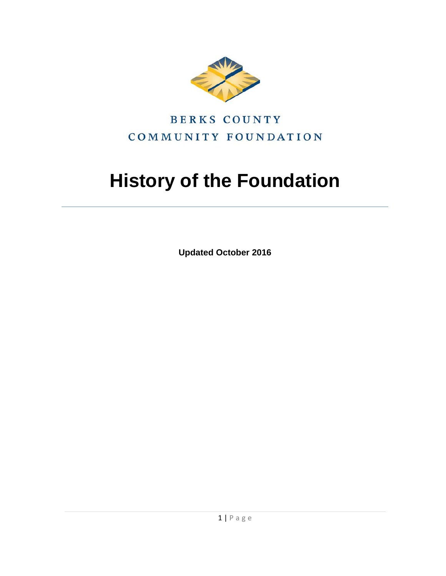

# **BERKS COUNTY** COMMUNITY FOUNDATION

# **History of the Foundation**

**Updated October 2016**

1 | Page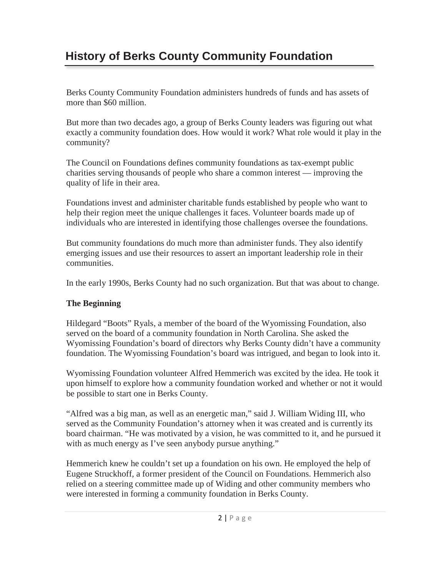# **History of Berks County Community Foundation**

Berks County Community Foundation administers hundreds of funds and has assets of more than \$60 million.

But more than two decades ago, a group of Berks County leaders was figuring out what exactly a community foundation does. How would it work? What role would it play in the community?

The Council on Foundations defines community foundations as tax-exempt public charities serving thousands of people who share a common interest — improving the quality of life in their area.

Foundations invest and administer charitable funds established by people who want to help their region meet the unique challenges it faces. Volunteer boards made up of individuals who are interested in identifying those challenges oversee the foundations.

But community foundations do much more than administer funds. They also identify emerging issues and use their resources to assert an important leadership role in their communities.

In the early 1990s, Berks County had no such organization. But that was about to change.

#### **The Beginning**

Hildegard "Boots" Ryals, a member of the board of the Wyomissing Foundation, also served on the board of a community foundation in North Carolina. She asked the Wyomissing Foundation's board of directors why Berks County didn't have a community foundation. The Wyomissing Foundation's board was intrigued, and began to look into it.

Wyomissing Foundation volunteer Alfred Hemmerich was excited by the idea. He took it upon himself to explore how a community foundation worked and whether or not it would be possible to start one in Berks County.

"Alfred was a big man, as well as an energetic man," said J. William Widing III, who served as the Community Foundation's attorney when it was created and is currently its board chairman. "He was motivated by a vision, he was committed to it, and he pursued it with as much energy as I've seen anybody pursue anything."

Hemmerich knew he couldn't set up a foundation on his own. He employed the help of Eugene Struckhoff, a former president of the Council on Foundations. Hemmerich also relied on a steering committee made up of Widing and other community members who were interested in forming a community foundation in Berks County.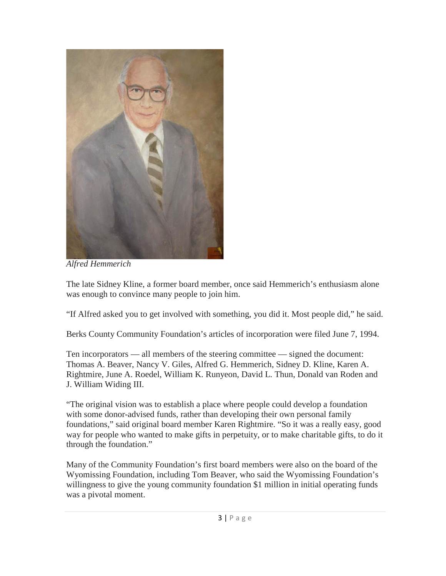

*Alfred Hemmerich*

The late Sidney Kline, a former board member, once said Hemmerich's enthusiasm alone was enough to convince many people to join him.

"If Alfred asked you to get involved with something, you did it. Most people did," he said.

Berks County Community Foundation's articles of incorporation were filed June 7, 1994.

Ten incorporators — all members of the steering committee — signed the document: Thomas A. Beaver, Nancy V. Giles, Alfred G. Hemmerich, Sidney D. Kline, Karen A. Rightmire, June A. Roedel, William K. Runyeon, David L. Thun, Donald van Roden and J. William Widing III.

"The original vision was to establish a place where people could develop a foundation with some donor-advised funds, rather than developing their own personal family foundations," said original board member Karen Rightmire. "So it was a really easy, good way for people who wanted to make gifts in perpetuity, or to make charitable gifts, to do it through the foundation."

Many of the Community Foundation's first board members were also on the board of the Wyomissing Foundation, including Tom Beaver, who said the Wyomissing Foundation's willingness to give the young community foundation \$1 million in initial operating funds was a pivotal moment.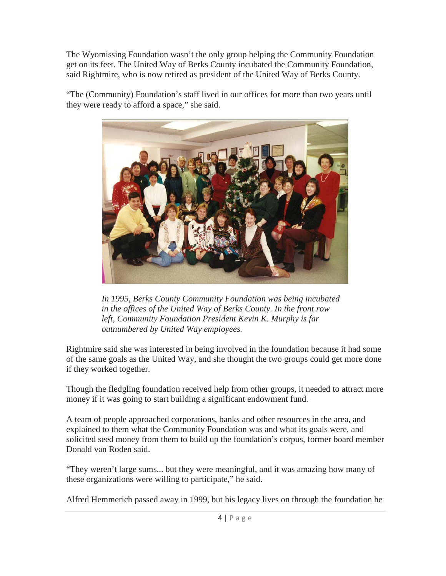The Wyomissing Foundation wasn't the only group helping the Community Foundation get on its feet. The United Way of Berks County incubated the Community Foundation, said Rightmire, who is now retired as president of the United Way of Berks County.

"The (Community) Foundation's staff lived in our offices for more than two years until they were ready to afford a space," she said.



*In 1995, Berks County Community Foundation was being incubated in the offices of the United Way of Berks County. In the front row left, Community Foundation President Kevin K. Murphy is far outnumbered by United Way employees.*

Rightmire said she was interested in being involved in the foundation because it had some of the same goals as the United Way, and she thought the two groups could get more done if they worked together.

Though the fledgling foundation received help from other groups, it needed to attract more money if it was going to start building a significant endowment fund.

A team of people approached corporations, banks and other resources in the area, and explained to them what the Community Foundation was and what its goals were, and solicited seed money from them to build up the foundation's corpus, former board member Donald van Roden said.

"They weren't large sums... but they were meaningful, and it was amazing how many of these organizations were willing to participate," he said.

Alfred Hemmerich passed away in 1999, but his legacy lives on through the foundation he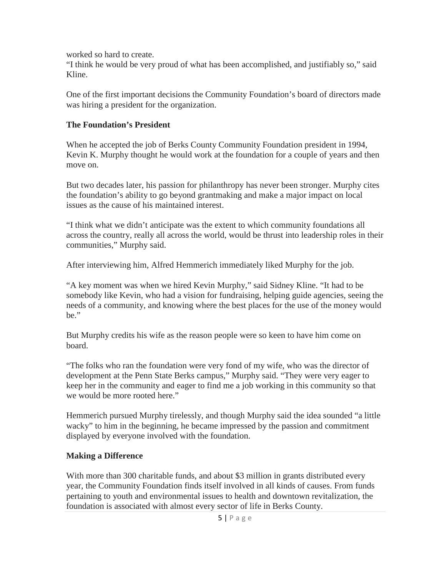worked so hard to create.

"I think he would be very proud of what has been accomplished, and justifiably so," said Kline.

One of the first important decisions the Community Foundation's board of directors made was hiring a president for the organization.

#### **The Foundation's President**

When he accepted the job of Berks County Community Foundation president in 1994, Kevin K. Murphy thought he would work at the foundation for a couple of years and then move on.

But two decades later, his passion for philanthropy has never been stronger. Murphy cites the foundation's ability to go beyond grantmaking and make a major impact on local issues as the cause of his maintained interest.

"I think what we didn't anticipate was the extent to which community foundations all across the country, really all across the world, would be thrust into leadership roles in their communities," Murphy said.

After interviewing him, Alfred Hemmerich immediately liked Murphy for the job.

"A key moment was when we hired Kevin Murphy," said Sidney Kline. "It had to be somebody like Kevin, who had a vision for fundraising, helping guide agencies, seeing the needs of a community, and knowing where the best places for the use of the money would be."

But Murphy credits his wife as the reason people were so keen to have him come on board.

"The folks who ran the foundation were very fond of my wife, who was the director of development at the Penn State Berks campus," Murphy said. "They were very eager to keep her in the community and eager to find me a job working in this community so that we would be more rooted here."

Hemmerich pursued Murphy tirelessly, and though Murphy said the idea sounded "a little wacky" to him in the beginning, he became impressed by the passion and commitment displayed by everyone involved with the foundation.

# **Making a Difference**

With more than 300 charitable funds, and about \$3 million in grants distributed every year, the Community Foundation finds itself involved in all kinds of causes. From funds pertaining to youth and environmental issues to health and downtown revitalization, the foundation is associated with almost every sector of life in Berks County.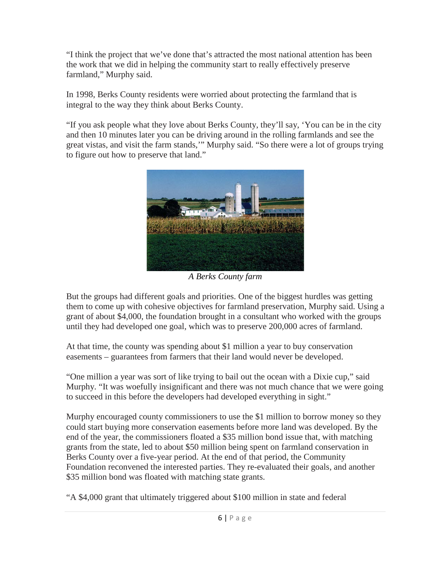"I think the project that we've done that's attracted the most national attention has been the work that we did in helping the community start to really effectively preserve farmland," Murphy said.

In 1998, Berks County residents were worried about protecting the farmland that is integral to the way they think about Berks County.

"If you ask people what they love about Berks County, they'll say, 'You can be in the city and then 10 minutes later you can be driving around in the rolling farmlands and see the great vistas, and visit the farm stands,'" Murphy said. "So there were a lot of groups trying to figure out how to preserve that land."



*A Berks County farm*

But the groups had different goals and priorities. One of the biggest hurdles was getting them to come up with cohesive objectives for farmland preservation, Murphy said. Using a grant of about \$4,000, the foundation brought in a consultant who worked with the groups until they had developed one goal, which was to preserve 200,000 acres of farmland.

At that time, the county was spending about \$1 million a year to buy conservation easements – guarantees from farmers that their land would never be developed.

"One million a year was sort of like trying to bail out the ocean with a Dixie cup," said Murphy. "It was woefully insignificant and there was not much chance that we were going to succeed in this before the developers had developed everything in sight."

Murphy encouraged county commissioners to use the \$1 million to borrow money so they could start buying more conservation easements before more land was developed. By the end of the year, the commissioners floated a \$35 million bond issue that, with matching grants from the state, led to about \$50 million being spent on farmland conservation in Berks County over a five-year period. At the end of that period, the Community Foundation reconvened the interested parties. They re-evaluated their goals, and another \$35 million bond was floated with matching state grants.

"A \$4,000 grant that ultimately triggered about \$100 million in state and federal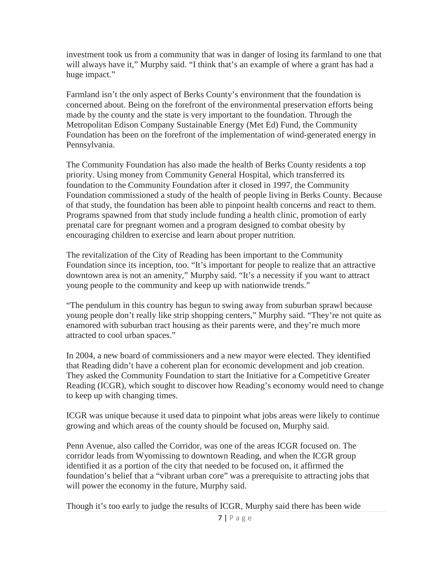investment took us from a community that was in danger of losing its farmland to one that will always have it," Murphy said. "I think that's an example of where a grant has had a huge impact."

Farmland isn't the only aspect of Berks County's environment that the foundation is concerned about. Being on the forefront of the environmental preservation efforts being made by the county and the state is very important to the foundation. Through the Metropolitan Edison Company Sustainable Energy (Met Ed) Fund, the Community Foundation has been on the forefront of the implementation of wind-generated energy in Pennsylvania.

The Community Foundation has also made the health of Berks County residents a top priority. Using money from Community General Hospital, which transferred its foundation to the Community Foundation after it closed in 1997, the Community Foundation commissioned a study of the health of people living in Berks County. Because of that study, the foundation has been able to pinpoint health concerns and react to them. Programs spawned from that study include funding a health clinic, promotion of early prenatal care for pregnant women and a program designed to combat obesity by encouraging children to exercise and learn about proper nutrition.

The revitalization of the City of Reading has been important to the Community Foundation since its inception, too. "It's important for people to realize that an attractive downtown area is not an amenity," Murphy said. "It's a necessity if you want to attract young people to the community and keep up with nationwide trends."

"The pendulum in this country has begun to swing away from suburban sprawl because young people don't really like strip shopping centers," Murphy said. "They're not quite as enamored with suburban tract housing as their parents were, and they're much more attracted to cool urban spaces."

In 2004, a new board of commissioners and a new mayor were elected. They identified that Reading didn't have a coherent plan for economic development and job creation. They asked the Community Foundation to start the Initiative for a Competitive Greater Reading (ICGR), which sought to discover how Reading's economy would need to change to keep up with changing times.

ICGR was unique because it used data to pinpoint what jobs areas were likely to continue growing and which areas of the county should be focused on, Murphy said.

Penn Avenue, also called the Corridor, was one of the areas ICGR focused on. The corridor leads from Wyomissing to downtown Reading, and when the ICGR group identified it as a portion of the city that needed to be focused on, it affirmed the foundation's belief that a "vibrant urban core" was a prerequisite to attracting jobs that will power the economy in the future, Murphy said.

Though it's too early to judge the results of ICGR, Murphy said there has been wide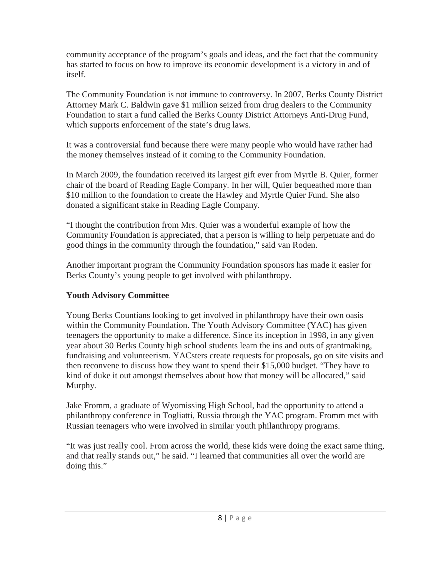community acceptance of the program's goals and ideas, and the fact that the community has started to focus on how to improve its economic development is a victory in and of itself.

The Community Foundation is not immune to controversy. In 2007, Berks County District Attorney Mark C. Baldwin gave \$1 million seized from drug dealers to the Community Foundation to start a fund called the Berks County District Attorneys Anti-Drug Fund, which supports enforcement of the state's drug laws.

It was a controversial fund because there were many people who would have rather had the money themselves instead of it coming to the Community Foundation.

In March 2009, the foundation received its largest gift ever from Myrtle B. Quier, former chair of the board of Reading Eagle Company. In her will, Quier bequeathed more than \$10 million to the foundation to create the Hawley and Myrtle Quier Fund. She also donated a significant stake in Reading Eagle Company.

"I thought the contribution from Mrs. Quier was a wonderful example of how the Community Foundation is appreciated, that a person is willing to help perpetuate and do good things in the community through the foundation," said van Roden.

Another important program the Community Foundation sponsors has made it easier for Berks County's young people to get involved with philanthropy.

# **Youth Advisory Committee**

Young Berks Countians looking to get involved in philanthropy have their own oasis within the Community Foundation. The Youth Advisory Committee (YAC) has given teenagers the opportunity to make a difference. Since its inception in 1998, in any given year about 30 Berks County high school students learn the ins and outs of grantmaking, fundraising and volunteerism. YACsters create requests for proposals, go on site visits and then reconvene to discuss how they want to spend their \$15,000 budget. "They have to kind of duke it out amongst themselves about how that money will be allocated," said Murphy.

Jake Fromm, a graduate of Wyomissing High School, had the opportunity to attend a philanthropy conference in Togliatti, Russia through the YAC program. Fromm met with Russian teenagers who were involved in similar youth philanthropy programs.

"It was just really cool. From across the world, these kids were doing the exact same thing, and that really stands out," he said. "I learned that communities all over the world are doing this."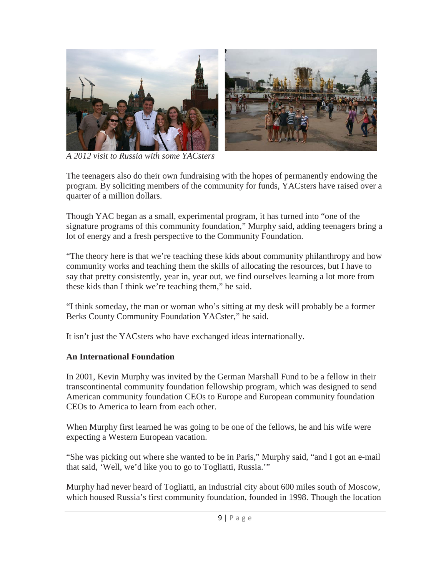

*A 2012 visit to Russia with some YACsters*

The teenagers also do their own fundraising with the hopes of permanently endowing the program. By soliciting members of the community for funds, YACsters have raised over a quarter of a million dollars.

Though YAC began as a small, experimental program, it has turned into "one of the signature programs of this community foundation," Murphy said, adding teenagers bring a lot of energy and a fresh perspective to the Community Foundation.

"The theory here is that we're teaching these kids about community philanthropy and how community works and teaching them the skills of allocating the resources, but I have to say that pretty consistently, year in, year out, we find ourselves learning a lot more from these kids than I think we're teaching them," he said.

"I think someday, the man or woman who's sitting at my desk will probably be a former Berks County Community Foundation YACster," he said.

It isn't just the YACsters who have exchanged ideas internationally.

#### **An International Foundation**

In 2001, Kevin Murphy was invited by the German Marshall Fund to be a fellow in their transcontinental community foundation fellowship program, which was designed to send American community foundation CEOs to Europe and European community foundation CEOs to America to learn from each other.

When Murphy first learned he was going to be one of the fellows, he and his wife were expecting a Western European vacation.

"She was picking out where she wanted to be in Paris," Murphy said, "and I got an e-mail that said, 'Well, we'd like you to go to Togliatti, Russia.'"

Murphy had never heard of Togliatti, an industrial city about 600 miles south of Moscow, which housed Russia's first community foundation, founded in 1998. Though the location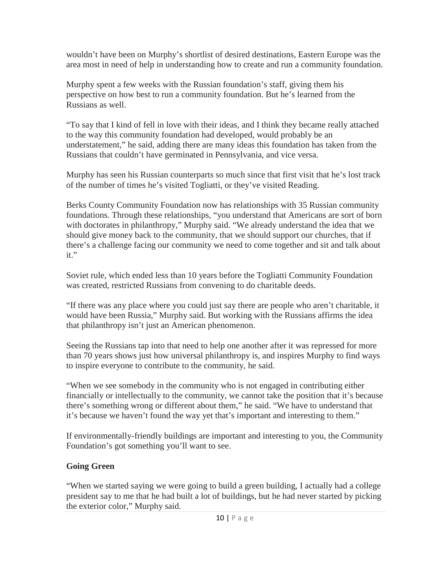wouldn't have been on Murphy's shortlist of desired destinations, Eastern Europe was the area most in need of help in understanding how to create and run a community foundation.

Murphy spent a few weeks with the Russian foundation's staff, giving them his perspective on how best to run a community foundation. But he's learned from the Russians as well.

"To say that I kind of fell in love with their ideas, and I think they became really attached to the way this community foundation had developed, would probably be an understatement," he said, adding there are many ideas this foundation has taken from the Russians that couldn't have germinated in Pennsylvania, and vice versa.

Murphy has seen his Russian counterparts so much since that first visit that he's lost track of the number of times he's visited Togliatti, or they've visited Reading.

Berks County Community Foundation now has relationships with 35 Russian community foundations. Through these relationships, "you understand that Americans are sort of born with doctorates in philanthropy," Murphy said. "We already understand the idea that we should give money back to the community, that we should support our churches, that if there's a challenge facing our community we need to come together and sit and talk about it."

Soviet rule, which ended less than 10 years before the Togliatti Community Foundation was created, restricted Russians from convening to do charitable deeds.

"If there was any place where you could just say there are people who aren't charitable, it would have been Russia," Murphy said. But working with the Russians affirms the idea that philanthropy isn't just an American phenomenon.

Seeing the Russians tap into that need to help one another after it was repressed for more than 70 years shows just how universal philanthropy is, and inspires Murphy to find ways to inspire everyone to contribute to the community, he said.

"When we see somebody in the community who is not engaged in contributing either financially or intellectually to the community, we cannot take the position that it's because there's something wrong or different about them," he said. "We have to understand that it's because we haven't found the way yet that's important and interesting to them."

If environmentally-friendly buildings are important and interesting to you, the Community Foundation's got something you'll want to see.

# **Going Green**

"When we started saying we were going to build a green building, I actually had a college president say to me that he had built a lot of buildings, but he had never started by picking the exterior color," Murphy said.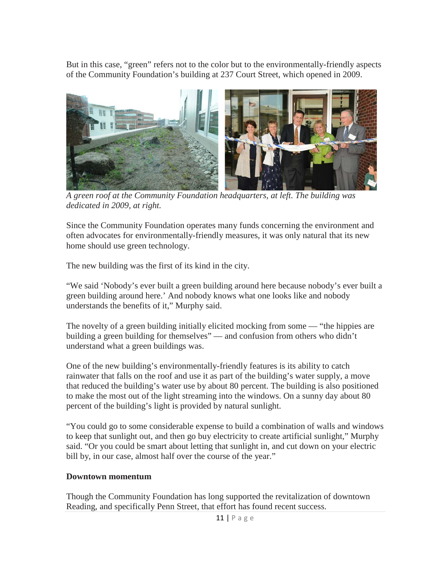But in this case, "green" refers not to the color but to the environmentally-friendly aspects of the Community Foundation's building at 237 Court Street, which opened in 2009.



 *A green roof at the Community Foundation headquarters, at left. The building was dedicated in 2009, at right.*

Since the Community Foundation operates many funds concerning the environment and often advocates for environmentally-friendly measures, it was only natural that its new home should use green technology.

The new building was the first of its kind in the city.

"We said 'Nobody's ever built a green building around here because nobody's ever built a green building around here.' And nobody knows what one looks like and nobody understands the benefits of it," Murphy said.

The novelty of a green building initially elicited mocking from some — "the hippies are building a green building for themselves" — and confusion from others who didn't understand what a green buildings was.

One of the new building's environmentally-friendly features is its ability to catch rainwater that falls on the roof and use it as part of the building's water supply, a move that reduced the building's water use by about 80 percent. The building is also positioned to make the most out of the light streaming into the windows. On a sunny day about 80 percent of the building's light is provided by natural sunlight.

"You could go to some considerable expense to build a combination of walls and windows to keep that sunlight out, and then go buy electricity to create artificial sunlight," Murphy said. "Or you could be smart about letting that sunlight in, and cut down on your electric bill by, in our case, almost half over the course of the year."

#### **Downtown momentum**

Though the Community Foundation has long supported the revitalization of downtown Reading, and specifically Penn Street, that effort has found recent success.